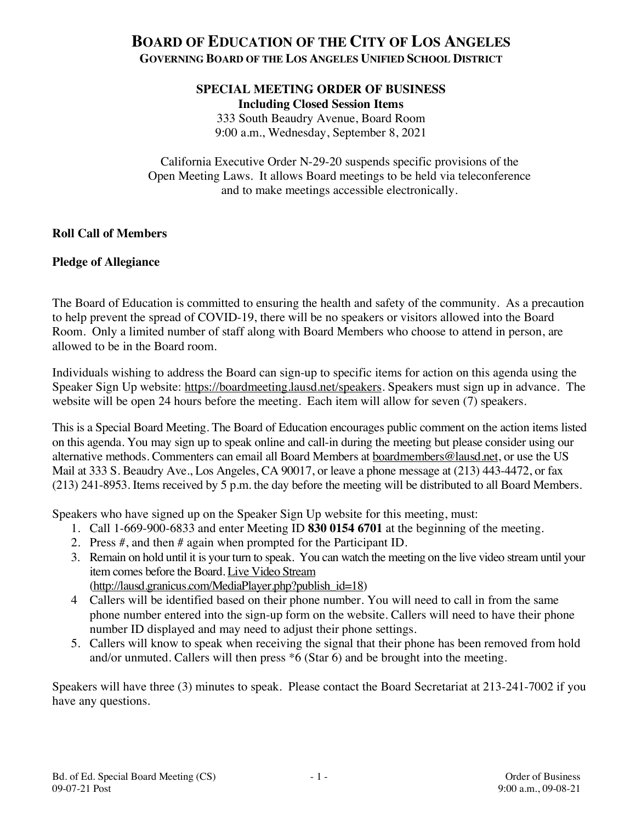# **BOARD OF EDUCATION OF THE CITY OF LOS ANGELES GOVERNING BOARD OF THE LOS ANGELES UNIFIED SCHOOL DISTRICT**

# **SPECIAL MEETING ORDER OF BUSINESS Including Closed Session Items**

333 South Beaudry Avenue, Board Room 9:00 a.m., Wednesday, September 8, 2021

California Executive Order N-29-20 suspends specific provisions of the Open Meeting Laws. It allows Board meetings to be held via teleconference and to make meetings accessible electronically.

# **Roll Call of Members**

## **Pledge of Allegiance**

The Board of Education is committed to ensuring the health and safety of the community. As a precaution to help prevent the spread of COVID-19, there will be no speakers or visitors allowed into the Board Room. Only a limited number of staff along with Board Members who choose to attend in person, are allowed to be in the Board room.

Individuals wishing to address the Board can sign-up to specific items for action on this agenda using the Speaker Sign Up website: https://boardmeeting.lausd.net/speakers. Speakers must sign up in advance. The website will be open 24 hours before the meeting. Each item will allow for seven (7) speakers.

This is a Special Board Meeting. The Board of Education encourages public comment on the action items listed on this agenda. You may sign up to speak online and call-in during the meeting but please consider using our alternative methods. Commenters can email all Board Members at boardmembers@lausd.net, or use the US Mail at 333 S. Beaudry Ave., Los Angeles, CA 90017, or leave a phone message at (213) 443-4472, or fax (213) 241-8953. Items received by 5 p.m. the day before the meeting will be distributed to all Board Members.

Speakers who have signed up on the Speaker Sign Up website for this meeting, must:

- 1. Call 1-669-900-6833 and enter Meeting ID **830 0154 6701** at the beginning of the meeting.
- 2. Press #, and then # again when prompted for the Participant ID.
- 3. Remain on hold until it is your turn to speak. You can watch the meeting on the live video stream until your item comes before the Board. Live Video Stream (http://lausd.granicus.com/MediaPlayer.php?publish\_id=18)
- 4 Callers will be identified based on their phone number. You will need to call in from the same phone number entered into the sign-up form on the website. Callers will need to have their phone number ID displayed and may need to adjust their phone settings.
- 5. Callers will know to speak when receiving the signal that their phone has been removed from hold and/or unmuted. Callers will then press \*6 (Star 6) and be brought into the meeting.

Speakers will have three (3) minutes to speak. Please contact the Board Secretariat at 213-241-7002 if you have any questions.